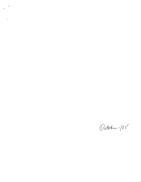$\label{eq:2.1} \frac{1}{\sqrt{2}}\int_{\mathbb{R}^3}\frac{1}{\sqrt{2}}\left(\frac{1}{\sqrt{2}}\int_{\mathbb{R}^3}\frac{1}{\sqrt{2}}\left(\frac{1}{\sqrt{2}}\int_{\mathbb{R}^3}\frac{1}{\sqrt{2}}\left(\frac{1}{\sqrt{2}}\int_{\mathbb{R}^3}\frac{1}{\sqrt{2}}\right)\frac{1}{\sqrt{2}}\right)\frac{1}{\sqrt{2}}\right) \,d\mathcal{H}^3\left(\frac{1}{\sqrt{2}}\int_{\mathbb{R}^3}\frac{1}{\sqrt{2}}\int_{\mathbb{R}^$  $\label{eq:2.1} \mathcal{L}=\frac{1}{2}\sum_{i=1}^n\frac{1}{2}\sum_{i=1}^n\frac{1}{2}\sum_{i=1}^n\frac{1}{2}\sum_{i=1}^n\frac{1}{2}\sum_{i=1}^n\frac{1}{2}\sum_{i=1}^n\frac{1}{2}\sum_{i=1}^n\frac{1}{2}\sum_{i=1}^n\frac{1}{2}\sum_{i=1}^n\frac{1}{2}\sum_{i=1}^n\frac{1}{2}\sum_{i=1}^n\frac{1}{2}\sum_{i=1}^n\frac{1}{2}\sum_{i=1}^n\frac{1}{2}\sum_{i$ 

> $\label{eq:2.1} \frac{1}{\sqrt{2}}\int_{\mathbb{R}^3}\frac{1}{\sqrt{2}}\left(\frac{1}{\sqrt{2}}\right)^2\frac{1}{\sqrt{2}}\left(\frac{1}{\sqrt{2}}\right)^2\frac{1}{\sqrt{2}}\left(\frac{1}{\sqrt{2}}\right)^2\frac{1}{\sqrt{2}}\left(\frac{1}{\sqrt{2}}\right)^2\frac{1}{\sqrt{2}}\left(\frac{1}{\sqrt{2}}\right)^2\frac{1}{\sqrt{2}}\frac{1}{\sqrt{2}}\frac{1}{\sqrt{2}}\frac{1}{\sqrt{2}}\frac{1}{\sqrt{2}}\frac{1}{\sqrt{2}}$

October 185

 $\label{eq:2.1} \frac{1}{\sqrt{2}}\left(\frac{1}{\sqrt{2}}\right)^{2} \left(\frac{1}{\sqrt{2}}\right)^{2} \left(\frac{1}{\sqrt{2}}\right)^{2} \left(\frac{1}{\sqrt{2}}\right)^{2} \left(\frac{1}{\sqrt{2}}\right)^{2} \left(\frac{1}{\sqrt{2}}\right)^{2} \left(\frac{1}{\sqrt{2}}\right)^{2} \left(\frac{1}{\sqrt{2}}\right)^{2} \left(\frac{1}{\sqrt{2}}\right)^{2} \left(\frac{1}{\sqrt{2}}\right)^{2} \left(\frac{1}{\sqrt{2}}\right)^{2} \left(\$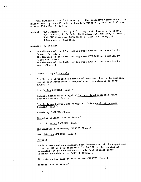The Minutes of the 85th Meeting of the Executive Committee of the Science Faculty Council held on Tuesday, October 1, 1985 at 3:30 p.m. in Room 250 Allen Building.

Present: C.C. Bigelow, Chair; N.E. Losey, J.W. Berry, P.K. Isaac, N.R. Hunter, G. Baldwin, K. Sharma, J.P. McClure, K. Mount, H.C. Williams, A. McPherson; S. Catt, Secretary; S. Johannson, J. McConnell.

Regrets: K. Stewart

- The Minutes of the 82nd meeting were APPROVED on a motion by 1. Hunter (Baldwin). The Minutes of the 83rd meeting were APPROVED on a motion by Mount (Williams). The Minutes of the 84th meeting were APPROVED on a motion by Mount (Hunter).
- Course Change Proposals  $2.$

Dr. Berry distributed a summary of proposed changes to members, and as each Department's proposals were considered he moved APPROVAL:

Statistics CARRIED (Unan.)

Applied Mathematics & Applied Mathematics/Statistics Joint Honours CARRIED (Unan.

Statistics/Actuarial and Management Sciences Joint Honours CARRIED (Unan.)

Chemistry CARRIED (Unan.)

Computer Science CARRIED (Unan.)

Earth Sciences CARRIED (Unan.)

Mathematics & Astronomy CARRIED (Unan.)

Microbiology CARRIED (Unan.)

Physics

чń

McClure proposed an amendment that "permission of the department to accept  $C+$  as a prerequisite for  $16.237$  not be treated as automatic but be handled on an individual student basis". Seconded by Baldwin and CARRIED (Unan.).

The vote on the amended main motion CARRIED (Unan.).

Zoology CARRIED (Unan.)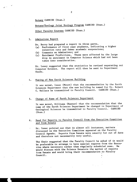Botany CARRIED (Unan.)

Botany/Zoology Joint Ecology Program CARRIED (Unan.)

Other Faculty Courses CARRIED (Unan.)

3. Admissions Report

 $\mathcal{A}^{(2)}$ 

- Dr. Berry had prepared a report in three parts,
- (a) Performance of first year students, indicating a higher
- retention rate and fewer academic suspensions; Comments on Admissions; and
- Enrolment Predictions. These were affected by the large drop in enrolment in Computer Science which had not been taken into consideration.

Dr. Losey suggested that the statistics be revised separating out Computer Science. The report will then be sent to Department Heads.

4. Naming of New Earth Sciences Building

It was moved, Isaac (Mount) that the recommendation by the Earth Sciences Department that the new building be named for Dr. Robert C. Wallace be transmitted to Faculty Council. CARRIED (Unan.)

## 5. Change of Name of Earth Sciences Department

It was moved, Williams (Hunter) that the recommendation that the name of the Earth Sciences Department be changed to Department of Geological Sciences be transmitted to Faculty Council. CARRIED (Unan.)

## 6. Need for Reports to Faculty Council from the Executive Committee and from Senate

Dr. Isaac pointed out that in almost all instances, matters discussed in the Executive Committee appeared on the Faculty Council Agenda. Reports from Senate were usually far out of date and therefore not necessarily very useful.

The Chair suggested that the Faculty Council be asked if it would be preferable to arrange to have special reports from the Executive where necessary rather than regularly scheduled ones. He would discuss with the Science Senators the matter of reports from Senate and would bring their recommendation to Faculty Council.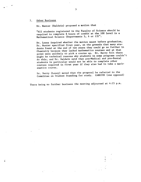## 7. Other Business

 $\mathcal{L}^{\mathcal{A}}$ 

Dr. Hunter (Baldwin) proposed a motion that

"All students registered in the Faculty of Science should be required to complete 6 hours of credit at the 100 level in a Mathematical Science (Departments 5, 6 or 13)".

Dr. Losey inquired whether the motion meant before graduation, Dr. Hunter specified first year, on the grounds that many students found at the end of two years they could go no further in Chemistry because they lacked mathematics courses and at that point were unlikely to pick a course up. Dr. Berry felt there might be technical reasons why students in some programs couldn't do this, and Dr. Baldwin said that pre-Medical and pre-Dental students in particular would not be able to complete other courses required in first year if they also had to take a mathematics course.

Dr. Berry (Losey) moved that the proposal be referred to the Committee on Student Standing for study. CARRIED (one opposed)

7

There being no further business the meeting adjourned at 4:25 p.m.